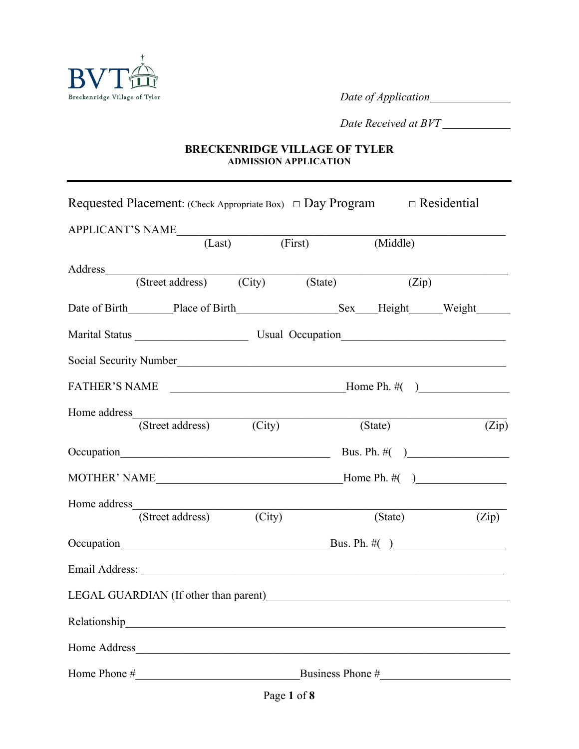

*Date of Application*

*Date Received at BVT*

#### **BRECKENRIDGE VILLAGE OF TYLER ADMISSION APPLICATION**

| Requested Placement: (Check Appropriate Box) $\Box$ Day Program |                                 |  |                             | $\Box$ Residential |       |
|-----------------------------------------------------------------|---------------------------------|--|-----------------------------|--------------------|-------|
| APPLICANT'S NAME (Last) (First)                                 |                                 |  |                             |                    |       |
|                                                                 |                                 |  | (Middle)                    |                    |       |
| Address                                                         | (Street address) (City) (State) |  |                             |                    |       |
|                                                                 |                                 |  |                             | (Zip)              |       |
|                                                                 |                                 |  |                             |                    |       |
|                                                                 |                                 |  |                             |                    |       |
| Social Security Number                                          |                                 |  |                             |                    |       |
| FATHER'S NAME $\qquad \qquad$ Home Ph. #()                      |                                 |  |                             |                    |       |
| Home address                                                    | (Street address) (City)         |  | (State)                     |                    | (Zip) |
|                                                                 |                                 |  | Bus. Ph. $\#( )$            |                    |       |
| MOTHER' NAME $\qquad \qquad$ Home Ph. #()                       |                                 |  |                             |                    |       |
|                                                                 |                                 |  |                             |                    |       |
|                                                                 | (Street address) (City)         |  | $\overline{\text{(State)}}$ |                    | (Zip) |
|                                                                 |                                 |  | Bus. Ph. $\#( )$            |                    |       |
|                                                                 |                                 |  |                             |                    |       |
|                                                                 |                                 |  |                             |                    |       |
|                                                                 |                                 |  |                             |                    |       |
|                                                                 |                                 |  |                             |                    |       |
| Home Phone $\#$ Business Phone $\#$                             |                                 |  |                             |                    |       |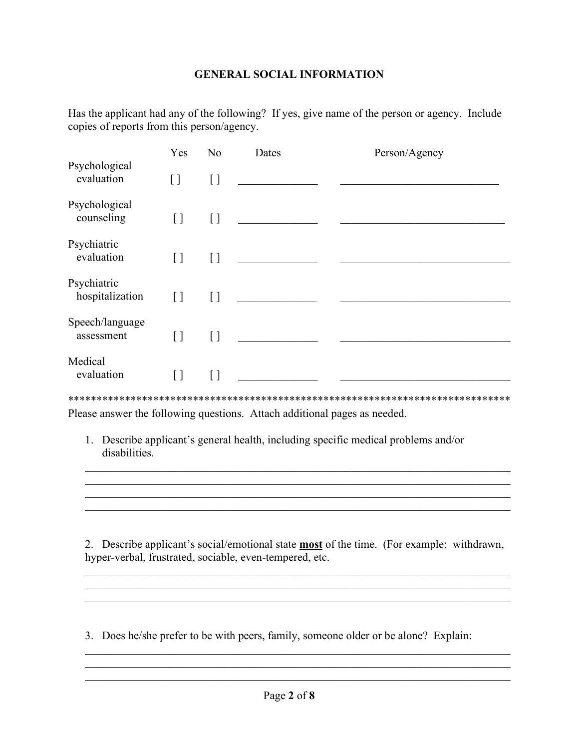#### **GENERAL SOCIAL INFORMATION**

Has the applicant had any of the following? If yes, give name of the person or agency. Include copies of reports from this person/agency.

|                                | Yes                                    | N <sub>o</sub>     | Dates | Person/Agency |  |
|--------------------------------|----------------------------------------|--------------------|-------|---------------|--|
| Psychological<br>evaluation    | $[ \ ]$                                | $\left[ \ \right]$ |       |               |  |
| Psychological<br>counseling    | $\begin{array}{c} \square \end{array}$ | IJ                 |       |               |  |
| Psychiatric<br>evaluation      | $\left[ \ \right]$                     | []                 |       |               |  |
| Psychiatric<br>hospitalization | $\lceil$ $\rceil$                      | [ ]                |       |               |  |
| Speech/language<br>assessment  | [ ]                                    | [ ]                |       |               |  |
| Medical<br>evaluation          | $\lceil$ $\rceil$                      | [ ]                |       |               |  |
|                                |                                        |                    |       |               |  |

Please answer the following questions. Attach additional pages as needed.

1. Describe applicant's general health, including specific medical problems and/or disabilities.

2. Describe applicant's social/emotional state **most** of the time. (For example: withdrawn, hyper-verbal, frustrated, sociable, even-tempered, etc.

\_\_\_\_\_\_\_\_\_\_\_\_\_\_\_\_\_\_\_\_\_\_\_\_\_\_\_\_\_\_\_\_\_\_\_\_\_\_\_\_\_\_\_\_\_\_\_\_\_\_\_\_\_\_\_\_\_\_\_\_\_\_\_\_\_\_\_\_\_\_\_\_\_\_\_

\_\_\_\_\_\_\_\_\_\_\_\_\_\_\_\_\_\_\_\_\_\_\_\_\_\_\_\_\_\_\_\_\_\_\_\_\_\_\_\_\_\_\_\_\_\_\_\_\_\_\_\_\_\_\_\_\_\_\_\_\_\_\_\_\_\_\_\_\_\_\_\_\_\_\_

 $\mathcal{L}_\mathcal{L} = \mathcal{L}_\mathcal{L} = \mathcal{L}_\mathcal{L} = \mathcal{L}_\mathcal{L} = \mathcal{L}_\mathcal{L} = \mathcal{L}_\mathcal{L} = \mathcal{L}_\mathcal{L} = \mathcal{L}_\mathcal{L} = \mathcal{L}_\mathcal{L} = \mathcal{L}_\mathcal{L} = \mathcal{L}_\mathcal{L} = \mathcal{L}_\mathcal{L} = \mathcal{L}_\mathcal{L} = \mathcal{L}_\mathcal{L} = \mathcal{L}_\mathcal{L} = \mathcal{L}_\mathcal{L} = \mathcal{L}_\mathcal{L}$ 

3. Does he/she prefer to be with peers, family, someone older or be alone? Explain:

 $\mathcal{L}_\text{max}$  , where  $\mathcal{L}_\text{max}$ 

\_\_\_\_\_\_\_\_\_\_\_\_\_\_\_\_\_\_\_\_\_\_\_\_\_\_\_\_\_\_\_\_\_\_\_\_\_\_\_\_\_\_\_\_\_\_\_\_\_\_\_\_\_\_\_\_\_\_\_\_\_\_\_\_\_\_\_\_\_\_\_\_\_\_\_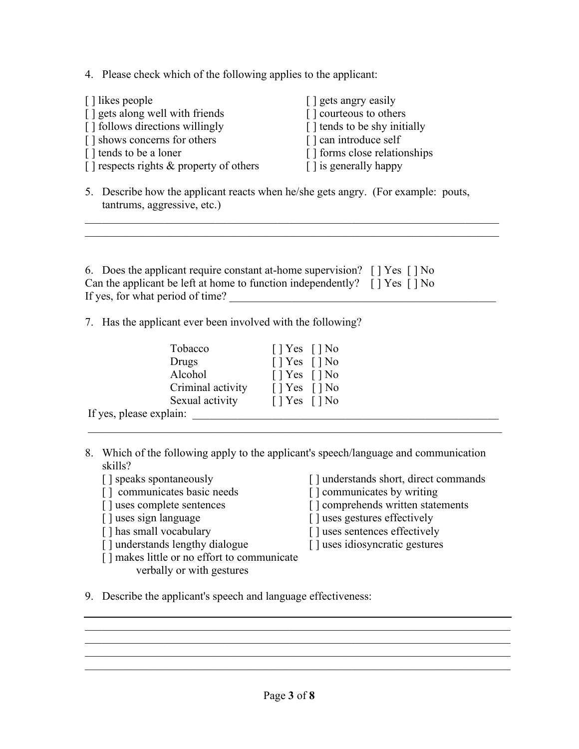4. Please check which of the following applies to the applicant:

| $\lceil$ likes people                         | [ ] gets angry easily        |
|-----------------------------------------------|------------------------------|
| [] gets along well with friends               | [] courteous to others       |
| [] follows directions willingly               | [] tends to be shy initially |
| [] shows concerns for others                  | [] can introduce self        |
| [] tends to be a loner                        | [] forms close relationships |
| $\lceil$ respects rights & property of others | [] is generally happy        |

5. Describe how the applicant reacts when he/she gets angry. (For example: pouts, tantrums, aggressive, etc.)

 $\mathcal{L}_\text{G}$  , and the contribution of the contribution of the contribution of the contribution of the contribution of the contribution of the contribution of the contribution of the contribution of the contribution of t  $\mathcal{L}_\text{G}$  , and the contribution of the contribution of the contribution of the contribution of the contribution of the contribution of the contribution of the contribution of the contribution of the contribution of t

| 6. Does the applicant require constant at-home supervision? [] Yes [] No                                        |  |
|-----------------------------------------------------------------------------------------------------------------|--|
| Can the applicant be left at home to function independently? $\lceil \cdot \rceil$ Yes $\lceil \cdot \rceil$ No |  |
| If yes, for what period of time?                                                                                |  |

7. Has the applicant ever been involved with the following?

| Tobacco                 | $[$   Yes $[$   No           |
|-------------------------|------------------------------|
| Drugs                   | $[$   Yes $[$   No           |
| Alcohol                 | $[$   Yes $[$   No           |
| Criminal activity       | $\lceil$   Yes $\lceil$   No |
| Sexual activity         | $\lceil$   Yes $\lceil$   No |
| If yes, please explain: |                              |

8. Which of the following apply to the applicant's speech/language and communication skills?

 $\mathcal{L}_\text{max}$  , and the contribution of the contribution of the contribution of the contribution of the contribution of the contribution of the contribution of the contribution of the contribution of the contribution of t

- 
- $\lceil \cdot \rceil$  communicates basic needs
- 
- 
- 
- [] understands lengthy dialogue [] uses idiosyncratic gestures
- [] makes little or no effort to communicate verbally or with gestures
- [] speaks spontaneously [] understands short, direct commands [] communicates basic needs [] communicates by writing
	-
- [] uses complete sentences [ ] comprehends written statements
- [] uses sign language [] uses gestures effectively<br>[] has small vocabulary [] uses sentences effectively
	- [] uses sentences effectively
	-
- 9. Describe the applicant's speech and language effectiveness:

\_\_\_\_\_\_\_\_\_\_\_\_\_\_\_\_\_\_\_\_\_\_\_\_\_\_\_\_\_\_\_\_\_\_\_\_\_\_\_\_\_\_\_\_\_\_\_\_\_\_\_\_\_\_\_\_\_\_\_\_\_\_\_\_\_\_\_\_\_\_\_\_\_\_\_

\_\_\_\_\_\_\_\_\_\_\_\_\_\_\_\_\_\_\_\_\_\_\_\_\_\_\_\_\_\_\_\_\_\_\_\_\_\_\_\_\_\_\_\_\_\_\_\_\_\_\_\_\_\_\_\_\_\_\_\_\_\_\_\_\_\_\_\_\_\_\_\_\_\_\_  $\mathcal{L}_\mathcal{L} = \mathcal{L}_\mathcal{L} = \mathcal{L}_\mathcal{L} = \mathcal{L}_\mathcal{L} = \mathcal{L}_\mathcal{L} = \mathcal{L}_\mathcal{L} = \mathcal{L}_\mathcal{L} = \mathcal{L}_\mathcal{L} = \mathcal{L}_\mathcal{L} = \mathcal{L}_\mathcal{L} = \mathcal{L}_\mathcal{L} = \mathcal{L}_\mathcal{L} = \mathcal{L}_\mathcal{L} = \mathcal{L}_\mathcal{L} = \mathcal{L}_\mathcal{L} = \mathcal{L}_\mathcal{L} = \mathcal{L}_\mathcal{L}$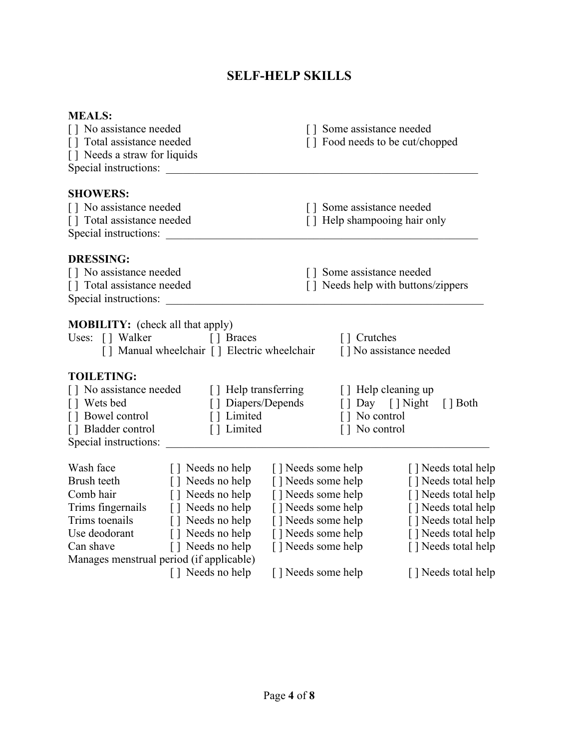# **SELF-HELP SKILLS**

| <b>MEALS:</b>                                |                                             |                    |                              |                                    |
|----------------------------------------------|---------------------------------------------|--------------------|------------------------------|------------------------------------|
| [] No assistance needed                      |                                             |                    | [] Some assistance needed    |                                    |
| [] Total assistance needed                   |                                             |                    |                              | [] Food needs to be cut/chopped    |
| [] Needs a straw for liquids                 |                                             |                    |                              |                                    |
| Special instructions:                        |                                             |                    |                              |                                    |
| <b>SHOWERS:</b>                              |                                             |                    |                              |                                    |
| [] No assistance needed                      |                                             |                    | [] Some assistance needed    |                                    |
| [] Total assistance needed                   |                                             |                    | [] Help shampooing hair only |                                    |
| Special instructions:                        |                                             |                    |                              |                                    |
| <b>DRESSING:</b>                             |                                             |                    |                              |                                    |
| [] No assistance needed                      |                                             |                    | [] Some assistance needed    |                                    |
| [] Total assistance needed                   |                                             |                    |                              | [] Needs help with buttons/zippers |
| Special instructions:                        |                                             |                    |                              |                                    |
|                                              |                                             |                    |                              |                                    |
| <b>MOBILITY:</b> (check all that apply)      |                                             |                    |                              |                                    |
| Uses: [] Walker                              | [ ] Braces                                  |                    | [] Crutches                  |                                    |
|                                              | [] Manual wheelchair [] Electric wheelchair |                    |                              | [] No assistance needed            |
| <b>TOILETING:</b>                            |                                             |                    |                              |                                    |
| [] No assistance needed [] Help transferring |                                             |                    |                              | [ ] Help cleaning up               |
| [] Wets bed                                  | [] Diapers/Depends                          |                    |                              | [] Day [] Night<br>$\lceil$ Both   |
| [] Bowel control                             | [] Limited                                  |                    | [] No control                |                                    |
| [] Bladder control                           | [] Limited                                  |                    | [] No control                |                                    |
| Special instructions:                        |                                             |                    |                              |                                    |
| Wash face                                    | [ ] Needs no help                           | [] Needs some help |                              | [] Needs total help                |
| Brush teeth                                  | [] Needs no help                            | [] Needs some help |                              | [] Needs total help                |
| Comb hair                                    | [] Needs no help                            | [] Needs some help |                              | [] Needs total help                |
| Trims fingernails                            | [] Needs no help                            | [] Needs some help |                              | [] Needs total help                |
| Trims toenails                               | [] Needs no help                            | [] Needs some help |                              | [] Needs total help                |
| Use deodorant                                | [] Needs no help                            | [] Needs some help |                              | [] Needs total help                |
| Can shave                                    | [] Needs no help                            | [] Needs some help |                              | [] Needs total help                |
| Manages menstrual period (if applicable)     |                                             |                    |                              |                                    |
|                                              | [] Needs no help                            | [] Needs some help |                              | [] Needs total help                |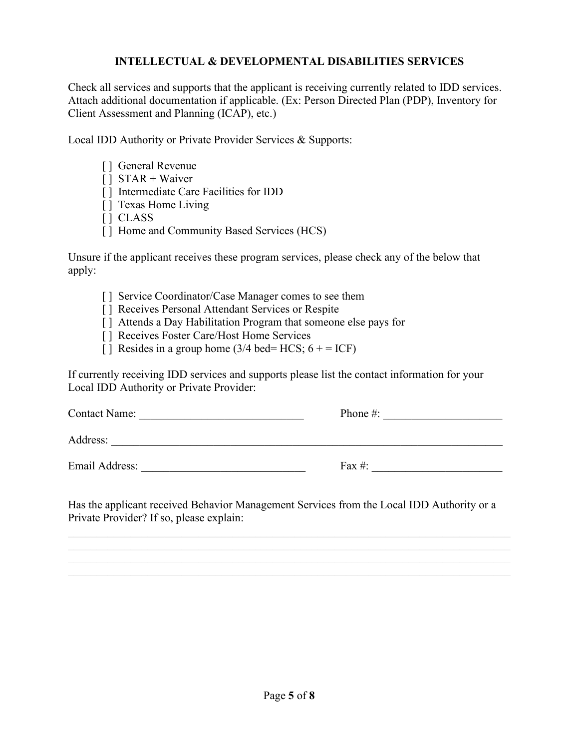### **INTELLECTUAL & DEVELOPMENTAL DISABILITIES SERVICES**

Check all services and supports that the applicant is receiving currently related to IDD services. Attach additional documentation if applicable. (Ex: Person Directed Plan (PDP), Inventory for Client Assessment and Planning (ICAP), etc.)

Local IDD Authority or Private Provider Services & Supports:

- [ ] General Revenue
- [ ] STAR + Waiver
- [ ] Intermediate Care Facilities for IDD
- [] Texas Home Living
- [ ] CLASS
- [] Home and Community Based Services (HCS)

Unsure if the applicant receives these program services, please check any of the below that apply:

- [] Service Coordinator/Case Manager comes to see them
- [] Receives Personal Attendant Services or Respite
- [] Attends a Day Habilitation Program that someone else pays for
- [] Receives Foster Care/Host Home Services
- [ ] Resides in a group home (3/4 bed= HCS;  $6 + = ICF$ )

If currently receiving IDD services and supports please list the contact information for your Local IDD Authority or Private Provider:

| <b>Contact Name:</b> | Phone $\#$ : |  |
|----------------------|--------------|--|
| Address:             |              |  |
| Email Address:       | Fax #:       |  |

Has the applicant received Behavior Management Services from the Local IDD Authority or a Private Provider? If so, please explain:

\_\_\_\_\_\_\_\_\_\_\_\_\_\_\_\_\_\_\_\_\_\_\_\_\_\_\_\_\_\_\_\_\_\_\_\_\_\_\_\_\_\_\_\_\_\_\_\_\_\_\_\_\_\_\_\_\_\_\_\_\_\_\_\_\_\_\_\_\_\_\_\_\_\_\_\_\_\_ \_\_\_\_\_\_\_\_\_\_\_\_\_\_\_\_\_\_\_\_\_\_\_\_\_\_\_\_\_\_\_\_\_\_\_\_\_\_\_\_\_\_\_\_\_\_\_\_\_\_\_\_\_\_\_\_\_\_\_\_\_\_\_\_\_\_\_\_\_\_\_\_\_\_\_\_\_\_ \_\_\_\_\_\_\_\_\_\_\_\_\_\_\_\_\_\_\_\_\_\_\_\_\_\_\_\_\_\_\_\_\_\_\_\_\_\_\_\_\_\_\_\_\_\_\_\_\_\_\_\_\_\_\_\_\_\_\_\_\_\_\_\_\_\_\_\_\_\_\_\_\_\_\_\_\_\_  $\mathcal{L}_\mathcal{L} = \mathcal{L}_\mathcal{L} = \mathcal{L}_\mathcal{L} = \mathcal{L}_\mathcal{L} = \mathcal{L}_\mathcal{L} = \mathcal{L}_\mathcal{L} = \mathcal{L}_\mathcal{L} = \mathcal{L}_\mathcal{L} = \mathcal{L}_\mathcal{L} = \mathcal{L}_\mathcal{L} = \mathcal{L}_\mathcal{L} = \mathcal{L}_\mathcal{L} = \mathcal{L}_\mathcal{L} = \mathcal{L}_\mathcal{L} = \mathcal{L}_\mathcal{L} = \mathcal{L}_\mathcal{L} = \mathcal{L}_\mathcal{L}$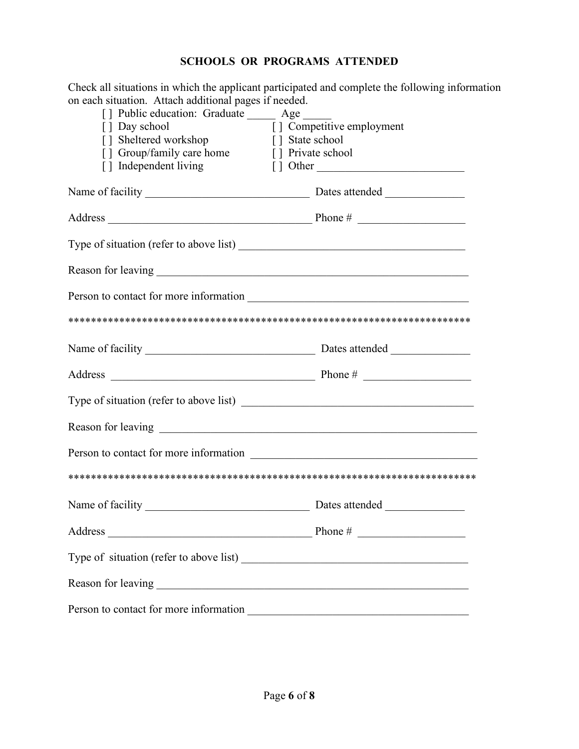## **SCHOOLS OR PROGRAMS ATTENDED**

Check all situations in which the applicant participated and complete the following information on each situation. Attach additional pages if needed.

| on caen shuation. Attach additional pages if necueu.<br>[ ] Public education: Graduate ______ Age _____ |                                                |
|---------------------------------------------------------------------------------------------------------|------------------------------------------------|
| [] Day school                                                                                           | $\boxed{\phantom{1}}$ Competitive employment   |
| [] Sheltered workshop [] State school                                                                   |                                                |
| [] Group/family care home [] Private school                                                             |                                                |
|                                                                                                         | [] Independent living [] Other                 |
|                                                                                                         |                                                |
|                                                                                                         |                                                |
|                                                                                                         |                                                |
|                                                                                                         |                                                |
|                                                                                                         |                                                |
|                                                                                                         |                                                |
|                                                                                                         | Name of facility Dates attended Dates attended |
|                                                                                                         |                                                |
|                                                                                                         |                                                |
|                                                                                                         |                                                |
|                                                                                                         |                                                |
|                                                                                                         |                                                |
|                                                                                                         |                                                |
| Address<br><u> 1989 - Johann John Stein, markin fizikar (</u>                                           | Phone #                                        |
|                                                                                                         |                                                |
|                                                                                                         |                                                |
|                                                                                                         |                                                |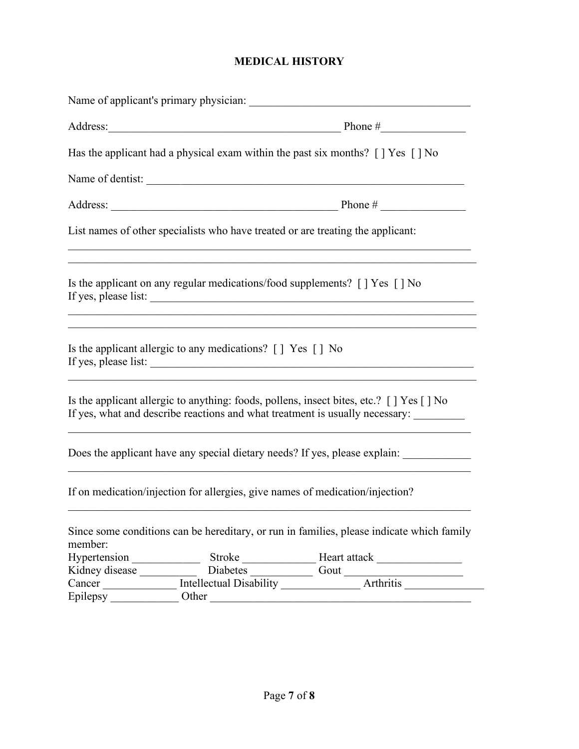## **MEDICAL HISTORY**

|                                                                                                                      | Name of applicant's primary physician:                                                                           |                                                                                                                                                                                  |  |  |  |
|----------------------------------------------------------------------------------------------------------------------|------------------------------------------------------------------------------------------------------------------|----------------------------------------------------------------------------------------------------------------------------------------------------------------------------------|--|--|--|
| Address: Phone #                                                                                                     |                                                                                                                  |                                                                                                                                                                                  |  |  |  |
| Has the applicant had a physical exam within the past six months? $\lceil \cdot \rceil$ Yes $\lceil \cdot \rceil$ No |                                                                                                                  |                                                                                                                                                                                  |  |  |  |
|                                                                                                                      | Name of dentist:                                                                                                 |                                                                                                                                                                                  |  |  |  |
|                                                                                                                      |                                                                                                                  |                                                                                                                                                                                  |  |  |  |
|                                                                                                                      | List names of other specialists who have treated or are treating the applicant:                                  |                                                                                                                                                                                  |  |  |  |
|                                                                                                                      | Is the applicant on any regular medications/food supplements? $\lceil \cdot \rceil$ Yes $\lceil \cdot \rceil$ No |                                                                                                                                                                                  |  |  |  |
|                                                                                                                      | Is the applicant allergic to any medications? [] Yes [] No                                                       |                                                                                                                                                                                  |  |  |  |
|                                                                                                                      |                                                                                                                  | Is the applicant allergic to anything: foods, pollens, insect bites, etc.? [] Yes [] No<br>If yes, what and describe reactions and what treatment is usually necessary: ________ |  |  |  |
|                                                                                                                      |                                                                                                                  | Does the applicant have any special dietary needs? If yes, please explain: ___________                                                                                           |  |  |  |
|                                                                                                                      | If on medication/injection for allergies, give names of medication/injection?                                    |                                                                                                                                                                                  |  |  |  |
| member:                                                                                                              |                                                                                                                  | Since some conditions can be hereditary, or run in families, please indicate which family                                                                                        |  |  |  |
| Hypertension                                                                                                         |                                                                                                                  |                                                                                                                                                                                  |  |  |  |
|                                                                                                                      |                                                                                                                  |                                                                                                                                                                                  |  |  |  |
| Cancer                                                                                                               |                                                                                                                  | Intellectual Disability <b>Arthritis</b>                                                                                                                                         |  |  |  |
| Epilepsy                                                                                                             | Other                                                                                                            |                                                                                                                                                                                  |  |  |  |